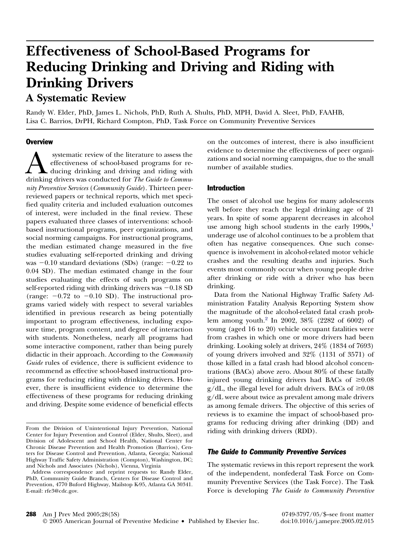# **Effectiveness of School-Based Programs for Reducing Drinking and Driving and Riding with Drinking Drivers A Systematic Review**

Randy W. Elder, PhD, James L. Nichols, PhD, Ruth A. Shults, PhD, MPH, David A. Sleet, PhD, FAAHB, Lisa C. Barrios, DrPH, Richard Compton, PhD, Task Force on Community Preventive Services

# **Overview**

systematic review of the literature to assess the effectiveness of school-based programs for reducing drinking and driving and riding with drinking drivers was conducted for *The Guide to Commu*effectiveness of school-based programs for reducing drinking and driving and riding with *nity Preventive Services* (*Community Guide*). Thirteen peerreviewed papers or technical reports, which met specified quality criteria and included evaluation outcomes of interest, were included in the final review. These papers evaluated three classes of interventions: schoolbased instructional programs, peer organizations, and social norming campaigns. For instructional programs, the median estimated change measured in the five studies evaluating self-reported drinking and driving was  $-0.10$  standard deviations (SDs) (range:  $-0.22$  to 0.04 SD). The median estimated change in the four studies evaluating the effects of such programs on self-reported riding with drinking drivers was  $-0.18$  SD (range:  $-0.72$  to  $-0.10$  SD). The instructional programs varied widely with respect to several variables identified in previous research as being potentially important to program effectiveness, including exposure time, program content, and degree of interaction with students. Nonetheless, nearly all programs had some interactive component, rather than being purely didactic in their approach. According to the *Community Guide* rules of evidence, there is sufficient evidence to recommend as effective school-based instructional programs for reducing riding with drinking drivers. However, there is insufficient evidence to determine the effectiveness of these programs for reducing drinking and driving. Despite some evidence of beneficial effects

on the outcomes of interest, there is also insufficient evidence to determine the effectiveness of peer organizations and social norming campaigns, due to the small number of available studies.

#### Introduction

The onset of alcohol use begins for many adolescents well before they reach the legal drinking age of 21 years. In spite of some apparent decreases in alcohol use among high school students in the early  $1990s$ ,<sup>1</sup> underage use of alcohol continues to be a problem that often has negative consequences. One such consequence is involvement in alcohol-related motor vehicle crashes and the resulting deaths and injuries. Such events most commonly occur when young people drive after drinking or ride with a driver who has been drinking.

Data from the National Highway Traffic Safety Administration Fatality Analysis Reporting System show the magnitude of the alcohol-related fatal crash problem among youth[.2](#page-8-0) In 2002, 38% (2282 of 6002) of young (aged 16 to 20) vehicle occupant fatalities were from crashes in which one or more drivers had been drinking. Looking solely at drivers, 24% (1834 of 7693) of young drivers involved and 32% (1131 of 3571) of those killed in a fatal crash had blood alcohol concentrations (BACs) above zero. About 80% of these fatally injured young drinking drivers had BACs of  $\geq 0.08$  $g/dL$ , the illegal level for adult drivers. BACs of  $\geq 0.08$ g/dL were about twice as prevalent among male drivers as among female drivers. The objective of this series of reviews is to examine the impact of school-based programs for reducing driving after drinking (DD) and riding with drinking drivers (RDD).

### The Guide to Community Preventive Services

The systematic reviews in this report represent the work of the independent, nonfederal Task Force on Community Preventive Services (the Task Force). The Task Force is developing *The Guide to Community Preventive*

From the Division of Unintentional Injury Prevention, National Center for Injury Prevention and Control (Elder, Shults, Sleet), and Division of Adolescent and School Health, National Center for Chronic Disease Prevention and Health Promotion (Barrios), Centers for Disease Control and Prevention, Atlanta, Georgia; National Highway Traffic Safety Administration (Compton), Washington, DC; and Nichols and Associates (Nichols), Vienna, Virginia

Address correspondence and reprint requests to: Randy Elder, PhD, Community Guide Branch, Centers for Disease Control and Prevention, 4770 Buford Highway, Mailstop K-95, Atlanta GA 30341. E-mail: rfe3@cdc.gov.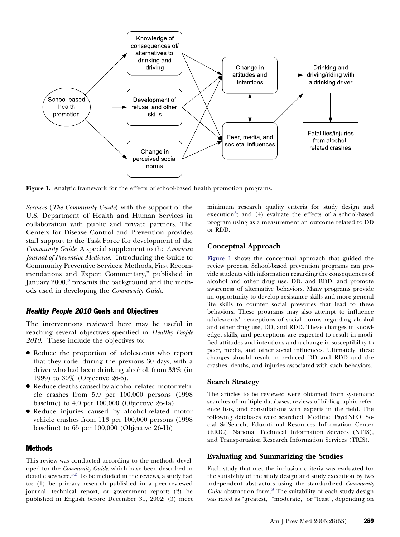

**Figure 1.** Analytic framework for the effects of school-based health promotion programs.

*Services* (*The Community Guide*) with the support of the U.S. Department of Health and Human Services in collaboration with public and private partners. The Centers for Disease Control and Prevention provides staff support to the Task Force for development of the *Community Guide*. A special supplement to the *American Journal of Preventive Medicine*, "Introducing the Guide to Community Preventive Services: Methods, First Recommendations and Expert Commentary," published in January  $2000$ ,<sup>3</sup> presents the background and the methods used in developing the *Community Guide*.

# Healthy People 2010 Goals and Objectives

The interventions reviewed here may be useful in reaching several objectives specified in *Healthy People 2010*. [4](#page-8-0) These include the objectives to:

- Reduce the proportion of adolescents who report that they rode, during the previous 30 days, with a driver who had been drinking alcohol, from 33% (in 1999) to 30% (Objective 26-6).
- Reduce deaths caused by alcohol-related motor vehicle crashes from 5.9 per 100,000 persons (1998 baseline) to 4.0 per 100,000 (Objective 26-1a).
- Reduce injuries caused by alcohol-related motor vehicle crashes from 113 per 100,000 persons (1998 baseline) to 65 per 100,000 (Objective 26-1b).

# **Methods**

This review was conducted according to the methods developed for the *Community Guide*, which have been described in detail elsewhere[.3,5](#page-8-0) To be included in the reviews, a study had to: (1) be primary research published in a peer-reviewed journal, technical report, or government report; (2) be published in English before December 31, 2002; (3) meet

minimum research quality criteria for study design and execution<sup>3</sup>; and (4) evaluate the effects of a school-based program using as a measurement an outcome related to DD or RDD.

# **Conceptual Approach**

Figure 1 shows the conceptual approach that guided the review process. School-based prevention programs can provide students with information regarding the consequences of alcohol and other drug use, DD, and RDD, and promote awareness of alternative behaviors. Many programs provide an opportunity to develop resistance skills and more general life skills to counter social pressures that lead to these behaviors. These programs may also attempt to influence adolescents' perceptions of social norms regarding alcohol and other drug use, DD, and RDD. These changes in knowledge, skills, and perceptions are expected to result in modified attitudes and intentions and a change in susceptibility to peer, media, and other social influences. Ultimately, these changes should result in reduced DD and RDD and the crashes, deaths, and injuries associated with such behaviors.

### **Search Strategy**

The articles to be reviewed were obtained from systematic searches of multiple databases, reviews of bibliographic reference lists, and consultations with experts in the field. The following databases were searched: Medline, PsycINFO, Social SciSearch, Educational Resources Information Center (ERIC), National Technical Information Services (NTIS), and Transportation Research Information Services (TRIS).

#### **Evaluating and Summarizing the Studies**

Each study that met the inclusion criteria was evaluated for the suitability of the study design and study execution by two independent abstractors using the standardized *Community Guide* abstraction form[.3](#page-8-0) The suitability of each study design was rated as "greatest," "moderate," or "least", depending on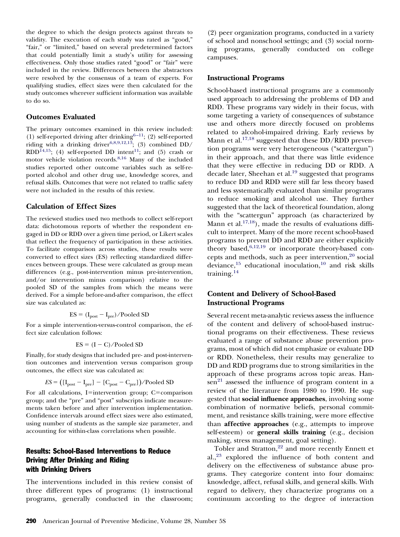the degree to which the design protects against threats to validity. The execution of each study was rated as "good," "fair," or "limited," based on several predetermined factors that could potentially limit a study's utility for assessing effectiveness. Only those studies rated "good" or "fair" were included in the review. Differences between the abstractors were resolved by the consensus of a team of experts. For qualifying studies, effect sizes were then calculated for the study outcomes wherever sufficient information was available to do so.

#### **Outcomes Evaluated**

The primary outcomes examined in this review included: (1) self-reported driving after drinking $6-11$ ; (2) self-reported riding with a drinking driver $^{6,8,9,12,13}$ ; (3) combined DD/  $RDD<sup>14,15</sup>$ ; (4) self-reported DD intent<sup>11</sup>; and (5) crash or motor vehicle violation records[.8,16](#page-8-0) Many of the included studies reported other outcome variables such as self-reported alcohol and other drug use, knowledge scores, and refusal skills. Outcomes that were not related to traffic safety were not included in the results of this review.

#### **Calculation of Effect Sizes**

The reviewed studies used two methods to collect self-report data: dichotomous reports of whether the respondent engaged in DD or RDD over a given time period, or Likert scales that reflect the frequency of participation in these activities. To facilitate comparison across studies, these results were converted to effect sizes (ES) reflecting standardized differences between groups. These were calculated as group mean differences (e.g., post-intervention minus pre-intervention, and/or intervention minus comparison) relative to the pooled SD of the samples from which the means were derived. For a simple before-and-after comparison, the effect size was calculated as:

$$
ES = (I_{post} - I_{pre})/Pooled SD
$$

For a simple intervention-versus-control comparison, the effect size calculation follows:

$$
ES = (I - C) / \text{Pooled SD}
$$

Finally, for study designs that included pre- and post-intervention outcomes and intervention versus comparison group outcomes, the effect size was calculated as:

$$
ES = ([Ipost - Ipre] - [Cpost - Cpre])/Pooled SD
$$

For all calculations, I=intervention group; C=comparison group; and the "pre" and "post" subscripts indicate measurements taken before and after intervention implementation. Confidence intervals around effect sizes were also estimated, using number of students as the sample size parameter, and accounting for within-class correlations when possible.

# Results: School-Based Interventions to Reduce Driving After Drinking and Riding with Drinking Drivers

The interventions included in this review consist of three different types of programs: (1) instructional programs, generally conducted in the classroom;

(2) peer organization programs, conducted in a variety of school and nonschool settings; and (3) social norming programs, generally conducted on college campuses.

### **Instructional Programs**

School-based instructional programs are a commonly used approach to addressing the problems of DD and RDD. These programs vary widely in their focus, with some targeting a variety of consequences of substance use and others more directly focused on problems related to alcohol-impaired driving. Early reviews by Mann et al.<sup>17,18</sup> suggested that these  $DD/RDD$  prevention programs were very heterogeneous ("scattergun") in their approach, and that there was little evidence that they were effective in reducing DD or RDD. A decade later, Sheehan et al.<sup>19</sup> suggested that programs to reduce DD and RDD were still far less theory based and less systematically evaluated than similar programs to reduce smoking and alcohol use. They further suggested that the lack of theoretical foundation, along with the "scattergun" approach (as characterized by Mann et al.<sup>17,18</sup>), made the results of evaluations difficult to interpret. Many of the more recent school-based programs to prevent DD and RDD are either explicitly theory based,  $6,12,19$  or incorporate theory-based concepts and methods, such as peer intervention,<sup>20</sup> social deviance,<sup>15</sup> educational inoculation,<sup>10</sup> and risk skills training[.14](#page-8-0)

# **Content and Delivery of School-Based Instructional Programs**

Several recent meta-analytic reviews assess the influence of the content and delivery of school-based instructional programs on their effectiveness. These reviews evaluated a range of substance abuse prevention programs, most of which did not emphasize or evaluate DD or RDD. Nonetheless, their results may generalize to DD and RDD programs due to strong similarities in the approach of these programs across topic areas. Han- $\text{sen}^{21}$  assessed the influence of program content in a review of the literature from 1980 to 1990. He suggested that **social influence approaches**, involving some combination of normative beliefs, personal commitment, and resistance skills training, were more effective than **affective approaches** (e.g., attempts to improve self-esteem) or **general skills training** (e.g., decision making, stress management, goal setting).

Tobler and Stratton,<sup>22</sup> and more recently Ennett et al.,<sup>23</sup> explored the influence of both content and delivery on the effectiveness of substance abuse programs. They categorize content into four domains: knowledge, affect, refusal skills, and general skills. With regard to delivery, they characterize programs on a continuum according to the degree of interaction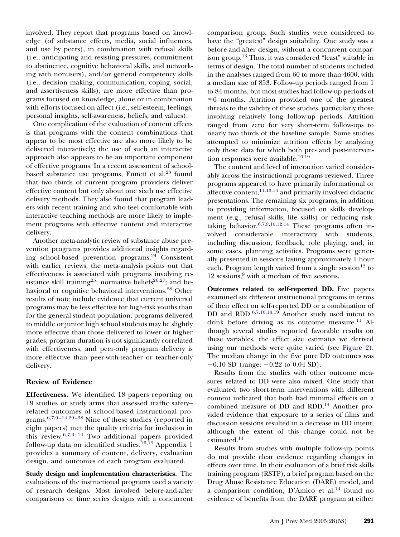involved. They report that programs based on knowledge (of substance effects, media, social influences, and use by peers), in combination with refusal skills (i.e., anticipating and resisting pressures, commitment to abstinence, cognitive behavioral skills, and networking with nonusers), and/or general competency skills (i.e., decision making, communication, coping, social, and assertiveness skills), are more effective than programs focused on knowledge, alone or in combination with efforts focused on affect (i.e., self-esteem, feelings, personal insights, self-awareness, beliefs, and values).

One complication of the evaluation of content effects is that programs with the content combinations that appear to be most effective are also more likely to be delivered interactively; the use of such an interactive approach also appears to be an important component of effective programs. In a recent assessment of schoolbased substance use programs, Ennett et al.<sup>23</sup> found that two thirds of current program providers deliver effective content but only about one sixth use effective delivery methods. They also found that program leaders with recent training and who feel comfortable with interactive teaching methods are more likely to implement programs with effective content and interactive delivery.

Another meta-analytic review of substance abuse prevention programs provides additional insights regarding school-based prevention programs[.24](#page-8-0) Consistent with earlier reviews, the meta-analysis points out that effectiveness is associated with programs involving resistance skill training<sup>25</sup>; normative beliefs<sup>26,27</sup>; and behavioral or cognitive behavioral interventions.<sup>28</sup> Other results of note include evidence that current universal programs may be less effective for high-risk youths than for the general student population, programs delivered to middle or junior high school students may be slightly more effective than those delivered to lower or higher grades, program duration is not significantly correlated with effectiveness, and peer-only program delivery is more effective than peer-with-teacher or teacher-only delivery.

#### **Review of Evidence**

**Effectiveness.** We identified 18 papers reporting on 19 studies or study arms that assessed traffic safety– related outcomes of school-based instructional programs.[6,7,9 –14,29 –38](#page-8-0) Nine of these studies (reported in eight papers) met the quality criteria for inclusion in this review. $6,7,9-14$  Two additional papers provided follow-up data on identified studies.<sup>[16,19](#page-8-0)</sup> Appendix 1 provides a summary of content, delivery, evaluation design, and outcomes of each program evaluated.

**Study design and implementation characteristics.** The evaluations of the instructional programs used a variety of research designs. Most involved before-and-after comparisons or time series designs with a concurrent

comparison group. Such studies were considered to have the "greatest" design suitability. One study was a before-and-after design, without a concurrent comparison group[.13](#page-8-0) Thus, it was considered "least" suitable in terms of design. The total number of students included in the analyses ranged from 60 to more than 4600, with a median size of 853. Follow-up periods ranged from 1 to 84 months, but most studies had follow-up periods of  $\leq$ 6 months. Attrition provided one of the greatest threats to the validity of these studies, particularly those involving relatively long follow-up periods. Attrition ranged from zero for very short-term follow-ups to nearly two thirds of the baseline sample. Some studies attempted to minimize attrition effects by analyzing only those data for which both pre- and post-intervention responses were available.<sup>10,19</sup>

The content and level of interaction varied considerably across the instructional programs reviewed. Three programs appeared to have primarily informational or affective content[,11,13,14](#page-8-0) and primarily involved didactic presentations. The remaining six programs, in addition to providing information, focused on skills development (e.g., refusal skills, life skills) or reducing risktaking behavior.  $6,7,9,10,12,14$  These programs often involved considerable interactivity with students, including discussion, feedback, role playing, and, in some cases, planning activities. Programs were generally presented in sessions lasting approximately 1 hour each. Program length varied from a single session<sup>13</sup> to  $12$  sessions,  $9$  with a median of five sessions.

**Outcomes related to self-reported DD.** Five papers examined six different instructional programs in terms of their effect on self-reported DD or a combination of DD and RDD.<sup>6,7,10,14,19</sup> Another study used intent to drink before driving as its outcome measure.<sup>11</sup> Although several studies reported favorable results on these variables, the effect size estimates we derived using our methods were quite varied (see [Figure 2\)](#page-4-0). The median change in the five pure DD outcomes was  $-0.10$  SD (range:  $-0.22$  to 0.04 SD).

Results from the studies with other outcome measures related to DD were also mixed. One study that evaluated two short-term interventions with different content indicated that both had minimal effects on a combined measure of DD and RDD.<sup>14</sup> Another provided evidence that exposure to a series of films and discussion sessions resulted in a decrease in DD intent, although the extent of this change could not be estimated.<sup>11</sup>

Results from studies with multiple follow-up points do not provide clear evidence regarding changes in effects over time. In their evaluation of a brief risk skills training program (RSTP), a brief program based on the Drug Abuse Resistance Education (DARE) model, and a comparison condition, D'Amico et al.<sup>14</sup> found no evidence of benefits from the DARE program at either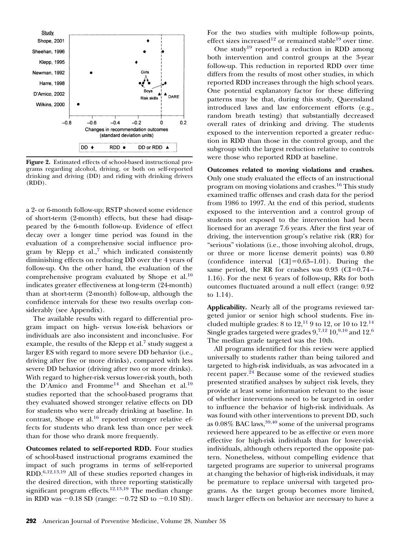<span id="page-4-0"></span>

**Figure 2.** Estimated effects of school-based instructional programs regarding alcohol, driving, or both on self-reported drinking and driving (DD) and riding with drinking drivers (RDD).

a 2- or 6-month follow-up; RSTP showed some evidence of short-term (2-month) effects, but these had disappeared by the 6-month follow-up. Evidence of effect decay over a longer time period was found in the evaluation of a comprehensive social influence program by Klepp et al., $^7$  which indicated consistently diminishing effects on reducing DD over the 4 years of follow-up. On the other hand, the evaluation of the comprehensive program evaluated by Shope et al[.10](#page-8-0) indicates greater effectiveness at long-term (24-month) than at short-term (2-month) follow-up, although the confidence intervals for these two results overlap considerably (see Appendix).

The available results with regard to differential program impact on high- versus low-risk behaviors or individuals are also inconsistent and inconclusive. For example, the results of the Klepp et al.<sup>7</sup> study suggest a larger ES with regard to more severe DD behavior (i.e., driving after five or more drinks), compared with less severe DD behavior (driving after two or more drinks). With regard to higher-risk versus lower-risk youth, both the D'Amico and Fromme<sup>14</sup> and Sheehan et al.<sup>19</sup> studies reported that the school-based programs that they evaluated showed stronger relative effects on DD for students who were already drinking at baseline. In contrast, Shope et al.<sup>16</sup> reported stronger relative effects for students who drank less than once per week than for those who drank more frequently.

**Outcomes related to self-reported RDD.** Four studies of school-based instructional programs examined the impact of such programs in terms of self-reported RDD[.6,12,13,19](#page-8-0) All of these studies reported changes in the desired direction, with three reporting statistically significant program effects.<sup>12,13,19</sup> The median change in RDD was  $-0.18$  SD (range:  $-0.72$  SD to  $-0.10$  SD).

For the two studies with multiple follow-up points, effect sizes increased<sup>12</sup> or remained stable<sup>19</sup> over time.

One study<sup>19</sup> reported a reduction in RDD among both intervention and control groups at the 3-year follow-up. This reduction in reported RDD over time differs from the results of most other studies, in which reported RDD increases through the high school years. One potential explanatory factor for these differing patterns may be that, during this study, Queensland introduced laws and law enforcement efforts (e.g., random breath testing) that substantially decreased overall rates of drinking and driving. The students exposed to the intervention reported a greater reduction in RDD than those in the control group, and the subgroup with the largest reduction relative to controls were those who reported RDD at baseline.

**Outcomes related to moving violations and crashes.** Only one study evaluated the effects of an instructional program on moving violations and crashes[.16](#page-8-0) This study examined traffic offenses and crash data for the period from 1986 to 1997. At the end of this period, students exposed to the intervention and a control group of students not exposed to the intervention had been licensed for an average 7.6 years. After the first year of driving, the intervention group's relative risk (RR) for "serious" violations (i.e., those involving alcohol, drugs, or three or more license demerit points) was 0.80 (confidence interval [CI]-0.63–1.01). During the same period, the RR for crashes was  $0.93$  (CI= $0.74-$ 1.16). For the next 6 years of follow-up, RRs for both outcomes fluctuated around a null effect (range: 0.92 to 1.14).

**Applicability.** Nearly all of the programs reviewed targeted junior or senior high school students. Five included multiple grades:  $8 \text{ to } 12$ ,  $^{11}$  9 to 12, or 10 to 12.<sup>14</sup> Single grades targeted were grades  $9,^{7,12}$  10,<sup>9,10</sup> and 12.<sup>6</sup> The median grade targeted was the 10th.

All programs identified for this review were applied universally to students rather than being tailored and targeted to high-risk individuals, as was advocated in a recent paper.<sup>24</sup> Because some of the reviewed studies presented stratified analyses by subject risk levels, they provide at least some information relevant to the issue of whether interventions need to be targeted in order to influence the behavior of high-risk individuals. As was found with other interventions to prevent DD, such as  $0.08\%$  BAC laws,  $39,40$  some of the universal programs reviewed here appeared to be as effective or even more effective for high-risk individuals than for lower-risk individuals, although others reported the opposite pattern. Nonetheless, without compelling evidence that targeted programs are superior to universal programs at changing the behavior of high-risk individuals, it may be premature to replace universal with targeted programs. As the target group becomes more limited, much larger effects on behavior are necessary to have a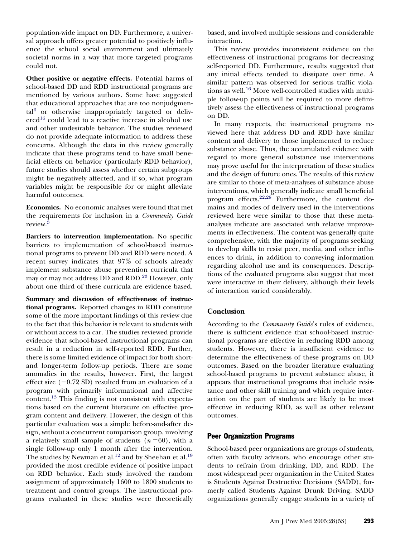population-wide impact on DD. Furthermore, a universal approach offers greater potential to positively influence the school social environment and ultimately societal norms in a way that more targeted programs could not.

**Other positive or negative effects.** Potential harms of school-based DD and RDD instructional programs are mentioned by various authors. Some have suggested that educational approaches that are too nonjudgmen $tal<sup>6</sup>$  or otherwise inappropriately targeted or delivered<sup>16</sup> could lead to a reactive increase in alcohol use and other undesirable behavior. The studies reviewed do not provide adequate information to address these concerns. Although the data in this review generally indicate that these programs tend to have small beneficial effects on behavior (particularly RDD behavior), future studies should assess whether certain subgroups might be negatively affected, and if so, what program variables might be responsible for or might alleviate harmful outcomes.

**Economics.** No economic analyses were found that met the requirements for inclusion in a *Community Guide* review[.3](#page-8-0)

**Barriers to intervention implementation.** No specific barriers to implementation of school-based instructional programs to prevent DD and RDD were noted. A recent survey indicates that 97% of schools already implement substance abuse prevention curricula that may or may not address DD and RDD.<sup>23</sup> However, only about one third of these curricula are evidence based.

**Summary and discussion of effectiveness of instructional programs.** Reported changes in RDD constitute some of the more important findings of this review due to the fact that this behavior is relevant to students with or without access to a car. The studies reviewed provide evidence that school-based instructional programs can result in a reduction in self-reported RDD. Further, there is some limited evidence of impact for both shortand longer-term follow-up periods. There are some anomalies in the results, however. First, the largest effect size  $(-0.72$  SD) resulted from an evaluation of a program with primarily informational and affective content[.13](#page-8-0) This finding is not consistent with expectations based on the current literature on effective program content and delivery. However, the design of this particular evaluation was a simple before-and-after design, without a concurrent comparison group, involving a relatively small sample of students  $(n = 60)$ , with a single follow-up only 1 month after the intervention. The studies by Newman et al.<sup>12</sup> and by Sheehan et al.<sup>19</sup> provided the most credible evidence of positive impact on RDD behavior. Each study involved the random assignment of approximately 1600 to 1800 students to treatment and control groups. The instructional programs evaluated in these studies were theoretically based, and involved multiple sessions and considerable interaction.

This review provides inconsistent evidence on the effectiveness of instructional programs for decreasing self-reported DD. Furthermore, results suggested that any initial effects tended to dissipate over time. A similar pattern was observed for serious traffic violations as well[.16](#page-8-0) More well-controlled studies with multiple follow-up points will be required to more definitively assess the effectiveness of instructional programs on DD.

In many respects, the instructional programs reviewed here that address DD and RDD have similar content and delivery to those implemented to reduce substance abuse. Thus, the accumulated evidence with regard to more general substance use interventions may prove useful for the interpretation of these studies and the design of future ones. The results of this review are similar to those of meta-analyses of substance abuse interventions, which generally indicate small beneficial program effects[.22,28](#page-8-0) Furthermore, the content domains and modes of delivery used in the interventions reviewed here were similar to those that these metaanalyses indicate are associated with relative improvements in effectiveness. The content was generally quite comprehensive, with the majority of programs seeking to develop skills to resist peer, media, and other influences to drink, in addition to conveying information regarding alcohol use and its consequences. Descriptions of the evaluated programs also suggest that most were interactive in their delivery, although their levels of interaction varied considerably.

# **Conclusion**

According to the *Community Guide*'s rules of evidence, there is sufficient evidence that school-based instructional programs are effective in reducing RDD among students. However, there is insufficient evidence to determine the effectiveness of these programs on DD outcomes. Based on the broader literature evaluating school-based programs to prevent substance abuse, it appears that instructional programs that include resistance and other skill training and which require interaction on the part of students are likely to be most effective in reducing RDD, as well as other relevant outcomes.

# Peer Organization Programs

School-based peer organizations are groups of students, often with faculty advisors, who encourage other students to refrain from drinking, DD, and RDD. The most widespread peer organization in the United States is Students Against Destructive Decisions (SADD), formerly called Students Against Drunk Driving. SADD organizations generally engage students in a variety of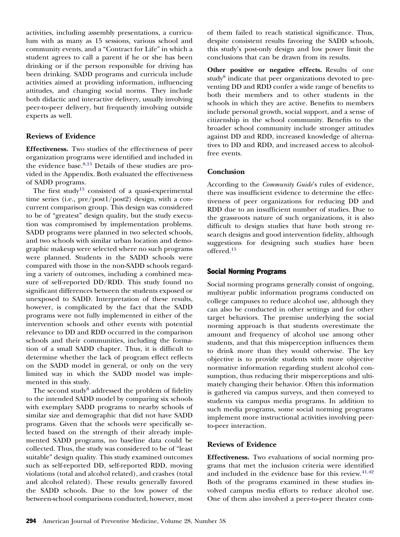activities, including assembly presentations, a curriculum with as many as 15 sessions, various school and community events, and a "Contract for Life" in which a student agrees to call a parent if he or she has been drinking or if the person responsible for driving has been drinking. SADD programs and curricula include activities aimed at providing information, influencing attitudes, and changing social norms. They include both didactic and interactive delivery, usually involving peer-to-peer delivery, but frequently involving outside experts as well.

# **Reviews of Evidence**

**Effectiveness.** Two studies of the effectiveness of peer organization programs were identified and included in the evidence base[.8,15](#page-8-0) Details of these studies are provided in the Appendix. Both evaluated the effectiveness of SADD programs.

The first study<sup>15</sup> consisted of a quasi-experimental time series (i.e., pre/post1/post2) design, with a concurrent comparison group. This design was considered to be of "greatest" design quality, but the study execution was compromised by implementation problems. SADD programs were planned in two selected schools, and two schools with similar urban location and demographic makeup were selected where no such programs were planned. Students in the SADD schools were compared with those in the non-SADD schools regarding a variety of outcomes, including a combined measure of self-reported DD/RDD. This study found no significant differences between the students exposed or unexposed to SADD. Interpretation of these results, however, is complicated by the fact that the SADD programs were not fully implemented in either of the intervention schools and other events with potential relevance to DD and RDD occurred in the comparison schools and their communities, including the formation of a small SADD chapter. Thus, it is difficult to determine whether the lack of program effect reflects on the SADD model in general, or only on the very limited way in which the SADD model was implemented in this study.

The second study<sup>8</sup> addressed the problem of fidelity to the intended SADD model by comparing six schools with exemplary SADD programs to nearby schools of similar size and demographic that did not have SADD programs. Given that the schools were specifically selected based on the strength of their already implemented SADD programs, no baseline data could be collected. Thus, the study was considered to be of "least suitable" design quality. This study examined outcomes such as self-reported DD, self-reported RDD, moving violations (total and alcohol related), and crashes (total and alcohol related). These results generally favored the SADD schools. Due to the low power of the between-school comparisons conducted, however, most

of them failed to reach statistical significance. Thus, despite consistent results favoring the SADD schools, this study's post-only design and low power limit the conclusions that can be drawn from its results.

**Other positive or negative effects.** Results of one study<sup>8</sup> indicate that peer organizations devoted to preventing DD and RDD confer a wide range of benefits to both their members and to other students in the schools in which they are active. Benefits to members include personal growth, social support, and a sense of citizenship in the school community. Benefits to the broader school community include stronger attitudes against DD and RDD, increased knowledge of alternatives to DD and RDD, and increased access to alcoholfree events.

# **Conclusion**

According to the *Community Guide*'s rules of evidence, there was insufficient evidence to determine the effectiveness of peer organizations for reducing DD and RDD due to an insufficient number of studies. Due to the grassroots nature of such organizations, it is also difficult to design studies that have both strong research designs and good intervention fidelity, although suggestions for designing such studies have been offered[.15](#page-8-0)

# Social Norming Programs

Social norming programs generally consist of ongoing, multiyear public information programs conducted on college campuses to reduce alcohol use, although they can also be conducted in other settings and for other target behaviors. The premise underlying the social norming approach is that students overestimate the amount and frequency of alcohol use among other students, and that this misperception influences them to drink more than they would otherwise. The key objective is to provide students with more objective normative information regarding student alcohol consumption, thus reducing their misperceptions and ultimately changing their behavior. Often this information is gathered via campus surveys, and then conveyed to students via campus media programs. In addition to such media programs, some social norming programs implement more instructional activities involving peerto-peer interaction.

# **Reviews of Evidence**

**Effectiveness.** Two evaluations of social norming programs that met the inclusion criteria were identified and included in the evidence base for this review. $41,42$ Both of the programs examined in these studies involved campus media efforts to reduce alcohol use. One of them also involved a peer-to-peer theater com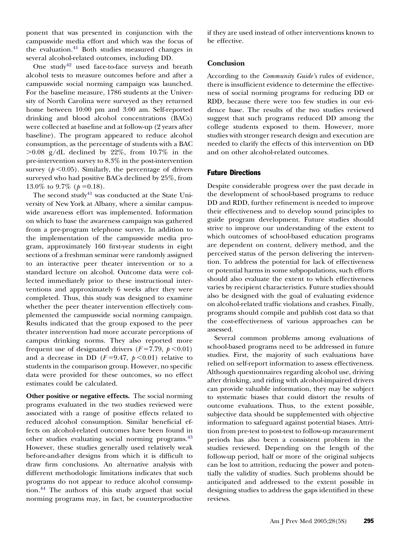ponent that was presented in conjunction with the campuswide media effort and which was the focus of the evaluation[.41](#page-8-0) Both studies measured changes in several alcohol-related outcomes, including DD.

One study<sup>42</sup> used face-to-face surveys and breath alcohol tests to measure outcomes before and after a campuswide social norming campaign was launched. For the baseline measure, 1786 students at the University of North Carolina were surveyed as they returned home between 10:00 pm and 3:00 am. Self-reported drinking and blood alcohol concentrations (BACs) were collected at baseline and at follow-up (2 years after baseline). The program appeared to reduce alcohol consumption, as the percentage of students with a BAC  $>0.08$  g/dL declined by 22%, from 10.7% in the pre-intervention survey to 8.3% in the post-intervention survey  $(p<0.05)$ . Similarly, the percentage of drivers surveyed who had positive BACs declined by 25%, from 13.0% to 9.7% ( $p = 0.18$ ).

The second study<sup>41</sup> was conducted at the State University of New York at Albany, where a similar campuswide awareness effort was implemented. Information on which to base the awareness campaign was gathered from a pre-program telephone survey. In addition to the implementation of the campuswide media program, approximately 160 first-year students in eight sections of a freshman seminar were randomly assigned to an interactive peer theater intervention or to a standard lecture on alcohol. Outcome data were collected immediately prior to these instructional interventions and approximately 6 weeks after they were completed. Thus, this study was designed to examine whether the peer theater intervention effectively complemented the campuswide social norming campaign. Results indicated that the group exposed to the peer theater intervention had more accurate perceptions of campus drinking norms. They also reported more frequent use of designated drivers  $(F=7.79, p<0.01)$ and a decrease in DD  $(F=9.47, p<0.01)$  relative to students in the comparison group. However, no specific data were provided for these outcomes, so no effect estimates could be calculated.

**Other positive or negative effects.** The social norming programs evaluated in the two studies reviewed were associated with a range of positive effects related to reduced alcohol consumption. Similar beneficial effects on alcohol-related outcomes have been found in other studies evaluating social norming programs.<sup>43</sup> However, these studies generally used relatively weak before-and-after designs from which it is difficult to draw firm conclusions. An alternative analysis with different methodologic limitations indicates that such programs do not appear to reduce alcohol consumption[.44](#page-9-0) The authors of this study argued that social norming programs may, in fact, be counterproductive

if they are used instead of other interventions known to be effective.

# **Conclusion**

According to the *Community Guide's* rules of evidence, there is insufficient evidence to determine the effectiveness of social norming programs for reducing DD or RDD, because there were too few studies in our evidence base. The results of the two studies reviewed suggest that such programs reduced DD among the college students exposed to them. However, more studies with stronger research design and execution are needed to clarify the effects of this intervention on DD and on other alcohol-related outcomes.

# Future Directions

Despite considerable progress over the past decade in the development of school-based programs to reduce DD and RDD, further refinement is needed to improve their effectiveness and to develop sound principles to guide program development. Future studies should strive to improve our understanding of the extent to which outcomes of school-based education programs are dependent on content, delivery method, and the perceived status of the person delivering the intervention. To address the potential for lack of effectiveness or potential harms in some subpopulations, such efforts should also evaluate the extent to which effectiveness varies by recipient characteristics. Future studies should also be designed with the goal of evaluating evidence on alcohol-related traffic violations and crashes. Finally, programs should compile and publish cost data so that the cost-effectiveness of various approaches can be assessed.

Several common problems among evaluations of school-based programs need to be addressed in future studies. First, the majority of such evaluations have relied on self-report information to assess effectiveness. Although questionnaires regarding alcohol use, driving after drinking, and riding with alcohol-impaired drivers can provide valuable information, they may be subject to systematic biases that could distort the results of outcome evaluations. Thus, to the extent possible, subjective data should be supplemented with objective information to safeguard against potential biases. Attrition from pre-test to post-test to follow-up measurement periods has also been a consistent problem in the studies reviewed. Depending on the length of the follow-up period, half or more of the original subjects can be lost to attrition, reducing the power and potentially the validity of studies. Such problems should be anticipated and addressed to the extent possible in designing studies to address the gaps identified in these reviews.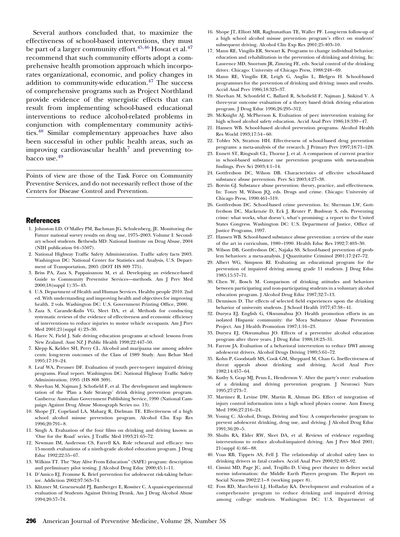<span id="page-8-0"></span>Several authors concluded that, to maximize the effectiveness of school-based interventions, they must be part of a larger community effort.<sup>45,46</sup> Howat et al.<sup>47</sup> recommend that such community efforts adopt a comprehensive health promotion approach which incorporates organizational, economic, and policy changes in addition to community-wide education. $47$  The success of comprehensive programs such as Project Northland provide evidence of the synergistic effects that can result from implementing school-based educational interventions to reduce alcohol-related problems in conjunction with complementary community activities[.48](#page-9-0) Similar complementary approaches have also been successful in other public health areas, such as improving cardiovascular health<sup>7</sup> and preventing tobacco use  $49$ 

Points of view are those of the Task Force on Community Preventive Services, and do not necessarily reflect those of the Centers for Disease Control and Prevention.

#### References

- 1. Johnston LD, O'Malley PM, Bachman JG, Schulenberg, JE. Monitoring the Future national survey results on drug use, 1975–2003. Volume I: Secondary school students. Bethesda MD: National Institute on Drug Abuse, 2004 (NIH publication 04 –5507).
- 2. National Highway Traffic Safety Administration. Traffic safety facts 2003. Washington DC: National Center for Statistics and Analysis, U.S. Department of Transportation, 2005 (DOT HS 809 775).
- 3. Briss PA, Zaza S, Pappaioanou M, et al. Developing an evidence-based Guide to Community Preventive Services—methods. Am J Prev Med 2000;18(suppl 1):35– 43.
- 4. U.S. Department of Health and Human Services. Healthy people 2010. 2nd ed. With understanding and improving health and objectives for improving health. 2 vols. Washington DC: U.S. Government Printing Office, 2000.
- 5. Zaza S, Carande-Kulis VG, Sleet DA, et al. Methods for conducting systematic reviews of the evidence of effectiveness and economic efficiency of interventions to reduce injuries to motor vehicle occupants. Am J Prev Med 2001;21(suppl 4):23–30.
- 6. Harre N, Field J. Safe driving education programs at school: lessons from New Zealand. Aust NZ J Public Health 1998;22:447–50.
- 7. Klepp K, Kelder SH, Perry CL. Alcohol and marijuana use among adolescents: long-term outcomes of the Class of 1989 Study. Ann Behav Med 1995;17:19 –24.
- 8. Leaf WA, Preusser DF. Evaluation of youth peer-to-peer impaired driving programs. Final report. Washington DC: National Highway Traffic Safety Administration, 1995 (HS 808 309).
- 9. Sheehan M, Najman J, Schofield F, et al. The development and implementation of the 'Plan a Safe Strategy' drink driving prevention program. Canberra: Australian Government Publishing Service, 1990 (National Campaign Against Drug Abuse Monograph Series no. 13).
- 10. Shope JT, Copeland LA, Maharg R, Dielman TE. Effectiveness of a high school alcohol misuse prevention program. Alcohol Clin Exp Res 1996;20:791– 8.
- 11. Singh A. Evaluation of the four films on drinking and driving known as 'One for the Road' series. J Traffic Med 1993;21:65–72.
- 12. Newman IM, Anderson CS, Farrell KA. Role rehearsal and efficacy: two 15-month evaluations of a ninth-grade alcohol education program. J Drug Educ 1992;22:55– 67.
- 13. Wilkins TT. The "Stay Alive From Education" (SAFE) program: description and preliminary pilot testing. J Alcohol Drug Educ 2000;45:1–11.
- 14. D'Amico EJ, Fromme K. Brief prevention for adolescent risk-taking behavior. Addiction 2002;97:563–74.
- 15. Klitzner M, Gruenewald PJ, Bamberger E, Rossiter C. A quasi-experimental evaluation of Students Against Driving Drunk. Am J Drug Alcohol Abuse 1994;20:57–74.
- 16. Shope JT, Elliott MR, Raghunathan TE, Waller PF. Long-term follow-up of a high school alcohol misuse prevention program's effect on students' subsequent driving. Alcohol Clin Exp Res 2001;25:403–10.
- 17. Mann RE, Vingilis ER, Stewart K. Programs to change individual behavior: education and rehabilitation in the prevention of drinking and driving. In: Laurence MD, Snortum JR, Zimring FE, eds. Social control of the drinking driver. Chicago: University of Chicago Press, 1988:248-69.
- 18. Mann RE, Vingilis ER, Leigh G, Anglin L, Blefgen H. School-based programmes for the prevention of drinking and driving: issues and results. Accid Anal Prev 1986;18:325–37.
- 19. Sheehan M, Schonfeld C, Ballard R, Schofield F, Najman J, Siskind V. A three-year outcome evaluation of a theory based drink driving education program. J Drug Educ 1996;26:295–312.
- 20. McKnight AJ, McPherson K. Evaluation of peer intervention training for high school alcohol safety education. Accid Anal Prev 1986;18:339 – 47.
- 21. Hansen WB. School-based alcohol prevention programs. Alcohol Health Res World 1993;17:54 – 60.
- 22. Tobler NS, Stratton HH. Effectiveness of school-based drug prevention programs: a meta-analysis of the research. J Primary Prev 1997;18:71–128.
- 23. Ennett ST, Ringwalt CL, Thorne J, et al. A comparison of current practice in school-based substance use prevention programs with meta-analysis findings. Prev Sci 2003;4:1–14.
- 24. Gottfredson DC, Wilson DB. Characteristics of effective school-based substance abuse prevention. Prev Sci 2003;4:27–38.
- 25. Botvin GJ. Substance abuse prevention: theory, practice, and effectiveness. In: Tonry M, Wilson JQ, eds. Drugs and crime. Chicago: University of Chicago Press, 1990:461–519.
- 26. Gottfredson DC. School-based crime prevention. In: Sherman LW, Gottfredson DC, Mackenzie D, Eck J, Reuter P, Bushway S, eds. Preventing crime: what works, what doesn't, what's promising: a report to the United States Congress. Washington DC: U.S. Department of Justice, Office of Justice Programs, 1997.
- 27. Hansen WB. School-based substance abuse prevention: a review of the state of the art in curriculum, 1980 –1990. Health Educ Res 1992;7:403–30.
- 28. Wilson DB, Gottfredson DC, Najaka SS. School-based prevention of problem behaviors: a meta-analysis. J Quantitative Criminol 2001;17:247–72.
- 29. Albert WG, Simpson RI. Evaluating an educational program for the prevention of impaired driving among grade 11 students. J Drug Educ 1985;15:57–71.
- 30. Chen W, Bosch M. Comparison of drinking attitudes and behaviors between participating and non-participating students in a voluntary alcohol education program. J Alcohol Drug Educ 1987;32:7–13.
- 31. Dennison D. The effects of selected field experiences upon the drinking behavior of university students. J School Health 1977;47:38 – 41.
- 32. Duryea EJ, English G, Okwumabua JO. Health promotion efforts in an isolated Hispanic community: the Mora Substance Abuse Prevention Project. Am J Health Promotion 1987;1:16 –23.
- 33. Duryea EJ, Okwumabua JO. Effects of a preventive alcohol education program after three years. J Drug Educ 1988;18:23–31.
- 34. Farrow JA. Evaluation of a behavioral intervention to reduce DWI among adolescent drivers. Alcohol Drugs Driving 1989;5:61–72.
- 35. Kohn P, Goodstadt MS, Cook GM, Sheppard M, Chan G. Ineffectiveness of threat appeals about drinking and driving. Accid Anal Prev 1982;14:457– 64.
- 36. Kuthy S, Grap MJ, Penn L, Henderson V. After the party's over: evaluation of a drinking and driving prevention program. J Neurosci Nurs 1995;27:273–7.
- 37. Martinez R, Levine DW, Martin R, Altman DG. Effect of integration of injury control information into a high school physics course. Ann Emerg Med 1996;27:216 –24.
- 38. Young C. Alcohol, Drugs, Driving and You: A comprehensive program to prevent adolescent drinking, drug use, and driving. J Alcohol Drug Educ 1991;36:20 –5.
- 39. Shults RA, Elder RW, Sleet DA, et al. Reviews of evidence regarding interventions to reduce alcohol-impaired driving. Am J Prev Med 2001; 21(suppl 4):66 – 88.
- 40. Voas RB, Tippets AS, Fell J. The relationship of alcohol safety laws to drinking drivers in fatal crashes. Accid Anal Prev 2000;32:483–92.
- 41. Cimini MD, Page JC, and, Trujillo D. Using peer theater to deliver social norms information: the Middle Earth Players program. The Report on Social Norms 2002;2:1-8 (working paper 8).
- 42. Foss RD, Marchetti LJ, Holladay KA. Development and evaluation of a comprehensive program to reduce drinking and impaired driving among college students. Washington DC: U.S. Department of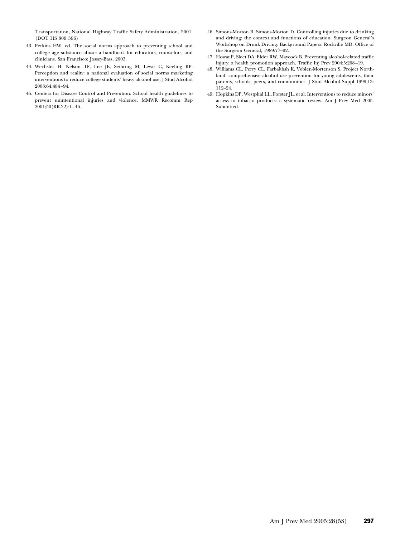<span id="page-9-0"></span>Transportation, National Highway Traffic Safety Administration, 2001. (DOT HS 809 396)

- 43. Perkins HW, ed. The social norms approach to preventing school and college age substance abuse: a handbook for educators, counselors, and clinicians. San Francisco: Jossey-Bass, 2003.
- 44. Wechsler H, Nelson TF, Lee JE, Seibring M, Lewis C, Keeling RP. Perception and reality: a national evaluation of social norms marketing interventions to reduce college students' heavy alcohol use. J Stud Alcohol 2003;64:484 –94.
- 45. Centers for Disease Control and Prevention. School health guidelines to prevent unintentional injuries and violence. MMWR Recomm Rep 2001;50(RR-22):1– 46.
- 46. Simons-Morton B, Simons-Morton D. Controlling injuries due to drinking and driving: the context and functions of education. Surgeon General's Workshop on Drunk Driving: Background Papers. Rockville MD: Office of the Surgeon General, 1989:77–92.
- 47. Howat P, Sleet DA, Elder RW, Maycock B. Preventing alcohol-related traffic injury: a health promotion approach. Traffic Inj Prev 2004;5:208 –19.
- 48. Williams CL, Perry CL, Farbakhsh K, Veblen-Mortenson S. Project Northland: comprehensive alcohol use prevention for young adolescents, their parents, schools, peers, and communities. J Stud Alcohol Suppl 1999;13: 112–24.
- 49. Hopkins DP, Westphal LL, Forster JL, et al. Interventions to reduce minors' access to tobacco products: a systematic review. Am J Prev Med 2005. Submitted.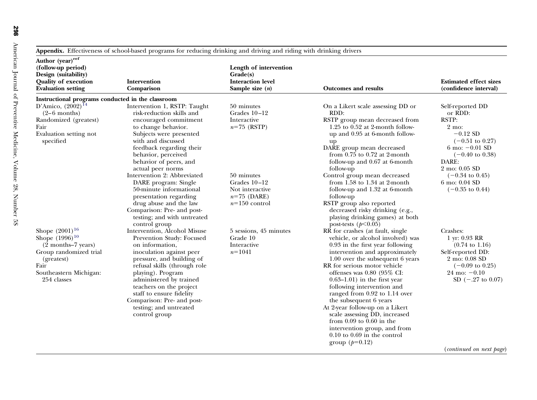| Author (year) <sup>ref</sup><br>(follow-up period)<br>Design (suitability)<br><b>Quality of execution</b><br><b>Evaluation setting</b>                           | Intervention<br>Comparison                                                                                                                                                                                                                                                                                                                            | Length of intervention<br>Grade(s)<br><b>Interaction level</b><br>Sample size $(n)$ | <b>Outcomes and results</b>                                                                                                                                                                                                                                                                                                                                                                                                                                                                                                                                            | <b>Estimated effect sizes</b><br>(confidence interval)                                                                                                                                                           |
|------------------------------------------------------------------------------------------------------------------------------------------------------------------|-------------------------------------------------------------------------------------------------------------------------------------------------------------------------------------------------------------------------------------------------------------------------------------------------------------------------------------------------------|-------------------------------------------------------------------------------------|------------------------------------------------------------------------------------------------------------------------------------------------------------------------------------------------------------------------------------------------------------------------------------------------------------------------------------------------------------------------------------------------------------------------------------------------------------------------------------------------------------------------------------------------------------------------|------------------------------------------------------------------------------------------------------------------------------------------------------------------------------------------------------------------|
| Instructional programs conducted in the classroom                                                                                                                |                                                                                                                                                                                                                                                                                                                                                       |                                                                                     |                                                                                                                                                                                                                                                                                                                                                                                                                                                                                                                                                                        |                                                                                                                                                                                                                  |
| D'Amico, $(2002)^{14}$<br>$(2-6$ months)<br>Randomized (greatest)<br>Fair<br>Evaluation setting not<br>specified                                                 | Intervention 1, RSTP: Taught<br>risk-reduction skills and<br>encouraged commitment<br>to change behavior.<br>Subjects were presented<br>with and discussed<br>feedback regarding their                                                                                                                                                                | 50 minutes<br>Grades 10-12<br>Interactive<br>$n=75$ (RSTP)                          | On a Likert scale assessing DD or<br>RDD:<br>RSTP group mean decreased from<br>$1.25$ to $0.52$ at 2-month follow-<br>up and 0.95 at 6-month follow-<br>up<br>DARE group mean decreased                                                                                                                                                                                                                                                                                                                                                                                | Self-reported DD<br>or RDD:<br>RSTP:<br>$2$ mo:<br>$-0.12$ SD<br>$(-0.51 \text{ to } 0.27)$<br>6 mo: $-0.01$ SD                                                                                                  |
|                                                                                                                                                                  | behavior, perceived<br>behavior of peers, and<br>actual peer norms<br>Intervention 2: Abbreviated<br>DARE program: Single<br>50-minute informational<br>presentation regarding                                                                                                                                                                        | 50 minutes<br>Grades $10-12$<br>Not interactive<br>$n=75$ (DARE)                    | from $0.75$ to $0.72$ at 2-month<br>follow-up and 0.67 at 6-month<br>follow-up<br>Control group mean decreased<br>from $1.58$ to $1.34$ at 2-month<br>follow-up and 1.32 at 6-month<br>follow-up                                                                                                                                                                                                                                                                                                                                                                       | $(-0.40 \text{ to } 0.38)$<br>DARE:<br>2 mo: 0.05 SD<br>$(-0.34 \text{ to } 0.45)$<br>$6 \text{ mo: } 0.04 \text{ SD}$<br>$(-0.35 \text{ to } 0.44)$                                                             |
|                                                                                                                                                                  | drug abuse and the law<br>Comparison: Pre- and post-<br>testing; and with untreated<br>control group                                                                                                                                                                                                                                                  | $n=150$ control                                                                     | RSTP group also reported<br>decreased risky drinking (e.g.,<br>playing drinking games) at both<br>post-tests $(p<0.05)$                                                                                                                                                                                                                                                                                                                                                                                                                                                |                                                                                                                                                                                                                  |
| Shope $(2001)^{16}$<br>Shope (1996) <sup>10</sup><br>(2 months-7 years)<br>Group randomized trial<br>(greatest)<br>Fair<br>Southeastern Michigan:<br>254 classes | Intervention, Alcohol Misuse<br>Prevention Study: Focused<br>on information,<br>inoculation against peer<br>pressure, and building of<br>refusal skills (through role<br>playing). Program<br>administered by trained<br>teachers on the project<br>staff to ensure fidelity<br>Comparison: Pre- and post-<br>testing; and untreated<br>control group | 5 sessions, 45 minutes<br>Grade 10<br>Interactive<br>$n = 1041$                     | RR for crashes (at fault, single<br>vehicle, or alcohol involved) was<br>0.93 in the first year following<br>intervention and approximately<br>1.00 over the subsequent 6 years<br>RR for serious motor vehicle<br>offenses was $0.80$ (95% CI:<br>$(0.63-1.01)$ in the first year<br>following intervention and<br>ranged from 0.92 to 1.14 over<br>the subsequent 6 years<br>At 2-year follow-up on a Likert<br>scale assessing DD, increased<br>from $0.09$ to $0.60$ in the<br>intervention group, and from<br>$0.10$ to $0.69$ in the control<br>group $(p=0.12)$ | Crashes:<br>$1 \, yr: 0.93 \, RR$<br>$(0.74 \text{ to } 1.16)$<br>Self-reported DD:<br>$2 \text{ mo: } 0.08 \text{ SD}$<br>$(-0.09 \text{ to } 0.25)$<br>$24 \text{ mo: } -0.10$<br>SD $(-.27 \text{ to } 0.07)$ |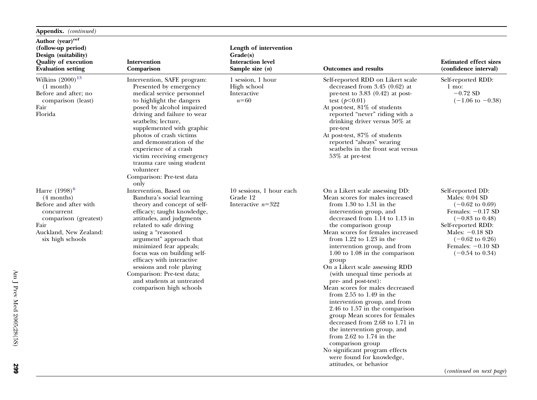| Author (year) <sup>ref</sup><br>(follow-up period)<br>Design (suitability)<br><b>Ouality of execution</b><br><b>Evaluation setting</b>                 | Intervention<br>Comparison                                                                                                                                                                                                                                                                                                                                                                                                         | Length of intervention<br>Grade(s)<br><b>Interaction level</b><br>Sample size $(n)$ | <b>Outcomes and results</b>                                                                                                                                                                                                                                                                                                                                                                                                                                                                                                                                                                                                                                                                                                                                                                                                   | <b>Estimated effect sizes</b><br>(confidence interval)                                                                                                                                                                                               |
|--------------------------------------------------------------------------------------------------------------------------------------------------------|------------------------------------------------------------------------------------------------------------------------------------------------------------------------------------------------------------------------------------------------------------------------------------------------------------------------------------------------------------------------------------------------------------------------------------|-------------------------------------------------------------------------------------|-------------------------------------------------------------------------------------------------------------------------------------------------------------------------------------------------------------------------------------------------------------------------------------------------------------------------------------------------------------------------------------------------------------------------------------------------------------------------------------------------------------------------------------------------------------------------------------------------------------------------------------------------------------------------------------------------------------------------------------------------------------------------------------------------------------------------------|------------------------------------------------------------------------------------------------------------------------------------------------------------------------------------------------------------------------------------------------------|
| Wilkins $(2000)^{13}$<br>$(1$ month)<br>Before and after; no<br>comparison (least)<br>Fair<br>Florida                                                  | Intervention, SAFE program:<br>Presented by emergency<br>medical service personnel<br>to highlight the dangers<br>posed by alcohol impaired<br>driving and failure to wear<br>seatbelts; lecture,<br>supplemented with graphic<br>photos of crash victims<br>and demonstration of the<br>experience of a crash<br>victim receiving emergency<br>trauma care using student<br>volunteer<br>Comparison: Pre-test data<br>only        | 1 session, 1 hour<br>High school<br>Interactive<br>$n=60$                           | Self-reported RDD on Likert scale<br>decreased from $3.45$ (0.62) at<br>pre-test to $3.83$ (0.42) at post-<br>test $(p<0.01)$<br>At post-test, 81% of students<br>reported "never" riding with a<br>drinking driver versus $50\%$ at<br>pre-test<br>At post-test, 87% of students<br>reported "always" wearing<br>seatbelts in the front seat versus<br>53% at pre-test                                                                                                                                                                                                                                                                                                                                                                                                                                                       | Self-reported RDD:<br>$1 \text{ mo}$ :<br>$-0.72$ SD<br>$(-1.06 \text{ to } -0.38)$                                                                                                                                                                  |
| Harre $(1998)^6$<br>$(4$ months)<br>Before and after with<br>concurrent<br>comparison (greatest)<br>Fair<br>Auckland, New Zealand:<br>six high schools | Intervention, Based on<br>Bandura's social learning<br>theory and concept of self-<br>efficacy; taught knowledge,<br>attitudes, and judgments<br>related to safe driving<br>using a "reasoned<br>argument" approach that<br>minimized fear appeals;<br>focus was on building self-<br>efficacy with interactive<br>sessions and role playing<br>Comparison: Pre-test data;<br>and students at untreated<br>comparison high schools | 10 sessions, 1 hour each<br>Grade 12<br>Interactive $n=322$                         | On a Likert scale assessing DD:<br>Mean scores for males increased<br>from $1.30$ to $1.31$ in the<br>intervention group, and<br>decreased from 1.14 to 1.13 in<br>the comparison group<br>Mean scores for females increased<br>from $1.22$ to $1.23$ in the<br>intervention group, and from<br>$1.00$ to $1.08$ in the comparison<br>group<br>On a Likert scale assessing RDD<br>(with unequal time periods at<br>pre- and post-test):<br>Mean scores for males decreased<br>from $2.55$ to $1.49$ in the<br>intervention group, and from<br>$2.46$ to $1.57$ in the comparison<br>group Mean scores for females<br>decreased from 2.68 to 1.71 in<br>the intervention group, and<br>from $2.62$ to 1.74 in the<br>comparison group<br>No significant program effects<br>were found for knowledge,<br>attitudes, or behavior | Self-reported DD:<br>Males: 0.04 SD<br>$(-0.62 \text{ to } 0.69)$<br>Females: $-0.17$ SD<br>$(-0.83 \text{ to } 0.48)$<br>Self-reported RDD:<br>Males: $-0.18$ SD<br>$(-0.62 \text{ to } 0.26)$<br>Females: $-0.10$ SD<br>$(-0.54 \text{ to } 0.34)$ |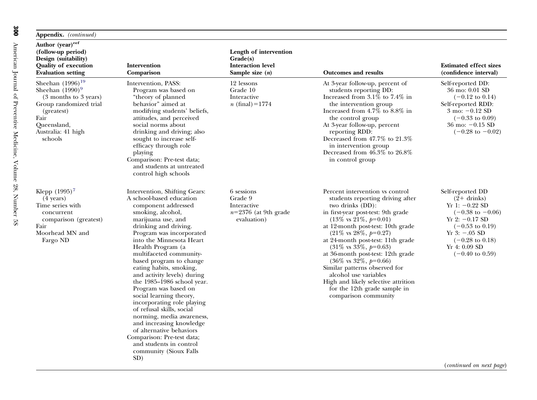| <b>Appendix.</b> ( <i>continued</i> )                                                                                                                                |                                                                                                                                                                                                                                                                                                                                                                                                                                                                                                                                                                                                                                                                              |                                                                                     |                                                                                                                                                                                                                                                                                                                                                                                                                                                                                                                                                                    |                                                                                                                                                                                                                                            |
|----------------------------------------------------------------------------------------------------------------------------------------------------------------------|------------------------------------------------------------------------------------------------------------------------------------------------------------------------------------------------------------------------------------------------------------------------------------------------------------------------------------------------------------------------------------------------------------------------------------------------------------------------------------------------------------------------------------------------------------------------------------------------------------------------------------------------------------------------------|-------------------------------------------------------------------------------------|--------------------------------------------------------------------------------------------------------------------------------------------------------------------------------------------------------------------------------------------------------------------------------------------------------------------------------------------------------------------------------------------------------------------------------------------------------------------------------------------------------------------------------------------------------------------|--------------------------------------------------------------------------------------------------------------------------------------------------------------------------------------------------------------------------------------------|
| Author (year) <sup>ref</sup><br>(follow-up period)<br>Design (suitability)<br><b>Quality of execution</b><br><b>Evaluation setting</b>                               | Intervention<br>Comparison                                                                                                                                                                                                                                                                                                                                                                                                                                                                                                                                                                                                                                                   | Length of intervention<br>Grade(s)<br><b>Interaction level</b><br>Sample size $(n)$ | <b>Outcomes and results</b>                                                                                                                                                                                                                                                                                                                                                                                                                                                                                                                                        | <b>Estimated effect sizes</b><br>(confidence interval)                                                                                                                                                                                     |
| Sheehan $(1996)^{19}$<br>Sheehan $(1990)^9$<br>(3 months to 3 years)<br>Group randomized trial<br>(greatest)<br>Fair<br>Queensland,<br>Australia: 41 high<br>schools | Intervention, PASS:<br>Program was based on<br>"theory of planned<br>behavior" aimed at<br>modifying students' beliefs,<br>attitudes, and perceived<br>social norms about<br>drinking and driving; also<br>sought to increase self-<br>efficacy through role<br>playing<br>Comparison: Pre-test data;<br>and students at untreated<br>control high schools                                                                                                                                                                                                                                                                                                                   | 12 lessons<br>Grade 10<br>Interactive<br><i>n</i> (final) = $1774$                  | At 3-year follow-up, percent of<br>students reporting DD:<br>Increased from 3.1% to 7.4% in<br>the intervention group<br>Increased from 4.7% to 8.8% in<br>the control group<br>At 3-year follow-up, percent<br>reporting RDD:<br>Decreased from $47.7\%$ to $21.3\%$<br>in intervention group<br>Decreased from $46.3\%$ to $26.8\%$<br>in control group                                                                                                                                                                                                          | Self-reported DD:<br>36 mo: 0.01 SD<br>$(-0.12 \text{ to } 0.14)$<br>Self-reported RDD:<br>$3 \text{ mo: } -0.12 \text{ SD}$<br>$(-0.33 \text{ to } 0.09)$<br>$36 \text{ mo: } -0.15 \text{ SD}$<br>$(-0.28 \text{ to } -0.02)$            |
| Klepp $(1995)^7$<br>$(4 \text{ years})$<br>Time series with<br>concurrent<br>comparison (greatest)<br>Fair<br>Moorhead MN and<br>Fargo ND                            | Intervention, Shifting Gears:<br>A school-based education<br>component addressed<br>smoking, alcohol,<br>marijuana use, and<br>drinking and driving.<br>Program was incorporated<br>into the Minnesota Heart<br>Health Program (a<br>multifaceted community-<br>based program to change<br>eating habits, smoking,<br>and activity levels) during<br>the 1985–1986 school year.<br>Program was based on<br>social learning theory,<br>incorporating role playing<br>of refusal skills, social<br>norming, media awareness,<br>and increasing knowledge<br>of alternative behaviors<br>Comparison: Pre-test data;<br>and students in control<br>community (Sioux Falls<br>SD) | 6 sessions<br>Grade 9<br>Interactive<br>$n=2376$ (at 9th grade<br>evaluation)       | Percent intervention vs control<br>students reporting driving after<br>two drinks (DD):<br>in first-year post-test: 9th grade<br>$(13\% \text{ vs } 21\%, p=0.01)$<br>at 12-month post-test: 10th grade<br>$(21\% \text{ vs } 28\%, p=0.27)$<br>at 24-month post-test: 11th grade<br>$(31\% \text{ vs } 33\%, \text{ } p=0.63)$<br>at 36-month post-test: 12th grade<br>$(36\% \text{ vs } 32\%, p=0.66)$<br>Similar patterns observed for<br>alcohol use variables<br>High and likely selective attrition<br>for the 12th grade sample in<br>comparison community | Self-reported DD<br>$(2+$ drinks)<br>$Yr 1: -0.22 SD$<br>$(-0.38 \text{ to } -0.06)$<br>$Yr 2: -0.17 SD$<br>$(-0.53 \text{ to } 0.19)$<br>$Yr$ 3: $-.05$ SD<br>$(-0.28 \text{ to } 0.18)$<br>$Yr$ 4: 0.09 SD<br>$(-0.40 \text{ to } 0.59)$ |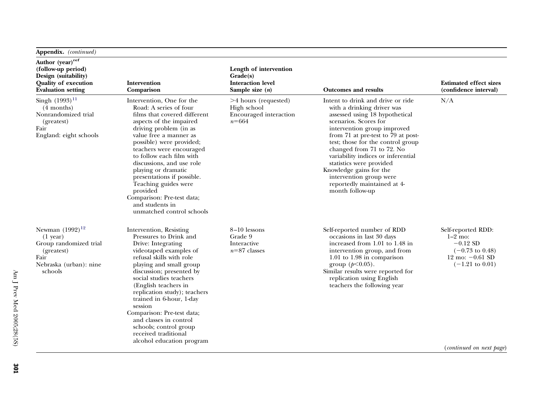| Intervention<br>Comparison                                                                                                                                                                                                                                                                                                                                                                                                                                 | Length of intervention<br>Grade(s)<br><b>Interaction level</b><br>Sample size $(n)$ | <b>Outcomes and results</b>                                                                                                                                                                                                                                                                                                                                                                                                                 | <b>Estimated effect sizes</b><br>(confidence interval)                                                                                                     |
|------------------------------------------------------------------------------------------------------------------------------------------------------------------------------------------------------------------------------------------------------------------------------------------------------------------------------------------------------------------------------------------------------------------------------------------------------------|-------------------------------------------------------------------------------------|---------------------------------------------------------------------------------------------------------------------------------------------------------------------------------------------------------------------------------------------------------------------------------------------------------------------------------------------------------------------------------------------------------------------------------------------|------------------------------------------------------------------------------------------------------------------------------------------------------------|
| Intervention, One for the<br>Road: A series of four<br>films that covered different<br>aspects of the impaired<br>driving problem (in as<br>value free a manner as<br>possible) were provided;<br>teachers were encouraged<br>to follow each film with<br>discussions, and use role<br>playing or dramatic<br>presentations if possible.<br>Teaching guides were<br>provided<br>Comparison: Pre-test data;<br>and students in<br>unmatched control schools | $>4$ hours (requested)<br>High school<br>Encouraged interaction<br>$n = 664$        | Intent to drink and drive or ride<br>with a drinking driver was<br>assessed using 18 hypothetical<br>scenarios. Scores for<br>intervention group improved<br>from 71 at pre-test to 79 at post-<br>test; those for the control group<br>changed from 71 to 72. No<br>variability indices or inferential<br>statistics were provided<br>Knowledge gains for the<br>intervention group were<br>reportedly maintained at 4-<br>month follow-up | N/A                                                                                                                                                        |
| Intervention, Resisting<br>Pressures to Drink and<br>Drive: Integrating<br>videotaped examples of<br>refusal skills with role<br>playing and small group<br>discussion; presented by<br>social studies teachers<br>(English teachers in<br>replication study); teachers<br>trained in 6-hour, 1-day<br>session<br>Comparison: Pre-test data;<br>and classes in control<br>schools; control group<br>received traditional<br>alcohol education program      | 8-10 lessons<br>Grade 9<br>Interactive<br>$n=87$ classes                            | Self-reported number of RDD<br>occasions in last 30 days<br>increased from 1.01 to 1.48 in<br>intervention group, and from<br>1.01 to 1.98 in comparison<br>group ( $p<0.05$ ).<br>Similar results were reported for<br>replication using English<br>teachers the following year                                                                                                                                                            | Self-reported RDD:<br>$1-2$ mo:<br>$-0.12$ SD<br>$(-0.73 \text{ to } 0.48)$<br>12 mo: $-0.61$ SD<br>$(-1.21 \text{ to } 0.01)$<br>(continued on next bage) |
|                                                                                                                                                                                                                                                                                                                                                                                                                                                            |                                                                                     |                                                                                                                                                                                                                                                                                                                                                                                                                                             |                                                                                                                                                            |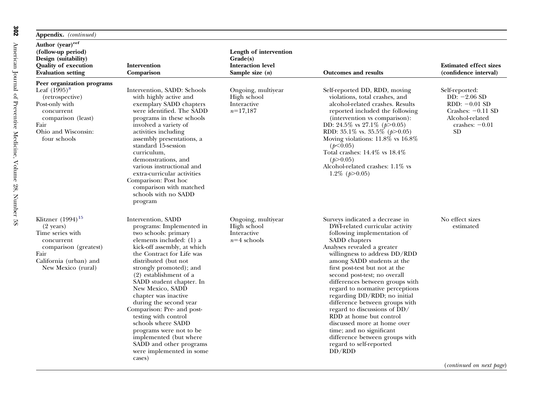| Appendix. (continued)                                                                                                                                                 |                                                                                                                                                                                                                                                                                                                                                                                                                                                                                                                                                   |                                                                                     |                                                                                                                                                                                                                                                                                                                                                                                                                                                                                                                                                                                                                         |                                                                                                                                |
|-----------------------------------------------------------------------------------------------------------------------------------------------------------------------|---------------------------------------------------------------------------------------------------------------------------------------------------------------------------------------------------------------------------------------------------------------------------------------------------------------------------------------------------------------------------------------------------------------------------------------------------------------------------------------------------------------------------------------------------|-------------------------------------------------------------------------------------|-------------------------------------------------------------------------------------------------------------------------------------------------------------------------------------------------------------------------------------------------------------------------------------------------------------------------------------------------------------------------------------------------------------------------------------------------------------------------------------------------------------------------------------------------------------------------------------------------------------------------|--------------------------------------------------------------------------------------------------------------------------------|
| Author (year) <sup>ref</sup><br>(follow-up period)<br>Design (suitability)<br><b>Quality of execution</b><br><b>Evaluation setting</b>                                | <b>Intervention</b><br>Comparison                                                                                                                                                                                                                                                                                                                                                                                                                                                                                                                 | Length of intervention<br>Grade(s)<br><b>Interaction level</b><br>Sample size $(n)$ | <b>Outcomes and results</b>                                                                                                                                                                                                                                                                                                                                                                                                                                                                                                                                                                                             | <b>Estimated effect sizes</b><br>(confidence interval)                                                                         |
| Peer organization programs<br>Leaf $(1995)^8$<br>(retrospective)<br>Post-only with<br>concurrent<br>comparison (least)<br>Fair<br>Ohio and Wisconsin:<br>four schools | Intervention, SADD: Schools<br>with highly active and<br>exemplary SADD chapters<br>were identified. The SADD<br>programs in these schools<br>involved a variety of<br>activities including<br>assembly presentations, a<br>standard 15-session<br>curriculum,<br>demonstrations, and<br>various instructional and<br>extra-curricular activities<br>Comparison: Post hoc<br>comparison with matched<br>schools with no SADD<br>program                                                                                                           | Ongoing, multiyear<br>High school<br>Interactive<br>$n=17,187$                      | Self-reported DD, RDD, moving<br>violations, total crashes, and<br>alcohol-related crashes. Results<br>reported included the following<br>(intervention vs comparison):<br>DD: 24.5% vs 27.1% ( $p$ >0.05)<br>RDD: 35.1% vs. 35.5% ( $p$ >0.05)<br>Moving violations: $11.8\%$ vs $16.8\%$<br>(p<0.05)<br>Total crashes: $14.4\%$ vs $18.4\%$<br>(p>0.05)<br>Alcohol-related crashes: 1.1% vs<br>1.2\% ( $p > 0.05$ )                                                                                                                                                                                                   | Self-reported:<br>$DD: -2.06$ SD<br>$RDD: -0.01$ SD<br>Crashes: $-0.11$ SD<br>Alcohol-related<br>crashes: $-0.01$<br><b>SD</b> |
| Klitzner $(1994)^{15}$<br>$(2 \text{ years})$<br>Time series with<br>concurrent<br>comparison (greatest)<br>Fair<br>California (urban) and<br>New Mexico (rural)      | Intervention, SADD<br>programs: Implemented in<br>two schools: primary<br>elements included: (1) a<br>kick-off assembly, at which<br>the Contract for Life was<br>distributed (but not<br>strongly promoted); and<br>$(2)$ establishment of a<br>SADD student chapter. In<br>New Mexico, SADD<br>chapter was inactive<br>during the second year<br>Comparison: Pre- and post-<br>testing with control<br>schools where SADD<br>programs were not to be<br>implemented (but where<br>SADD and other programs<br>were implemented in some<br>cases) | Ongoing, multiyear<br>High school<br>Interactive<br>$n=4$ schools                   | Surveys indicated a decrease in<br>DWI-related curricular activity<br>following implementation of<br>SADD chapters<br>Analyses revealed a greater<br>willingness to address DD/RDD<br>among SADD students at the<br>first post-test but not at the<br>second post-test; no overall<br>differences between groups with<br>regard to normative perceptions<br>regarding DD/RDD; no initial<br>difference between groups with<br>regard to discussions of DD/<br>RDD at home but control<br>discussed more at home over<br>time; and no significant<br>difference between groups with<br>regard to self-reported<br>DD/RDD | No effect sizes<br>estimated                                                                                                   |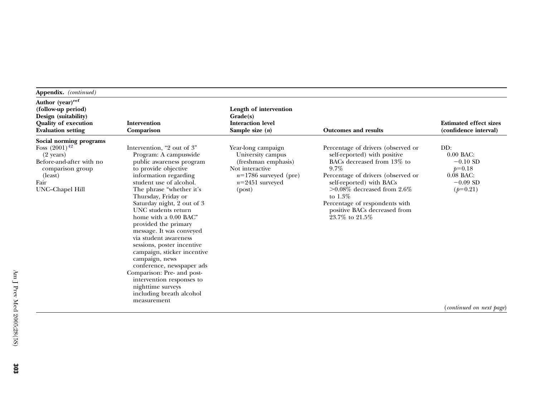| <b>Appendix.</b> (continued)<br>Author (year) <sup>ref</sup><br>(follow-up period)<br>Design (suitability)<br><b>Quality of execution</b><br><b>Evaluation setting</b> | <b>Intervention</b><br>Comparison                                                                                                                                                                                                                                                                                                                                                                                                                                                                                                                                                                                | Length of intervention<br>Grade(s)<br><b>Interaction level</b><br>Sample size $(n)$                                                         | <b>Outcomes and results</b>                                                                                                                                                                                                                                                                                        | <b>Estimated effect sizes</b><br>(confidence interval)                                                                       |
|------------------------------------------------------------------------------------------------------------------------------------------------------------------------|------------------------------------------------------------------------------------------------------------------------------------------------------------------------------------------------------------------------------------------------------------------------------------------------------------------------------------------------------------------------------------------------------------------------------------------------------------------------------------------------------------------------------------------------------------------------------------------------------------------|---------------------------------------------------------------------------------------------------------------------------------------------|--------------------------------------------------------------------------------------------------------------------------------------------------------------------------------------------------------------------------------------------------------------------------------------------------------------------|------------------------------------------------------------------------------------------------------------------------------|
| Social norming programs<br>Foss $(2001)^{42}$<br>$(2 \text{ years})$<br>Before-and-after with no<br>comparison group<br>(least)<br>Fair<br>UNC-Chapel Hill             | Intervention, "2 out of 3"<br>Program: A campuswide<br>public awareness program<br>to provide objective<br>information regarding<br>student use of alcohol.<br>The phrase "whether it's<br>Thursday, Friday or<br>Saturday night, 2 out of 3<br>UNC students return<br>home with a 0.00 BAC"<br>provided the primary<br>message. It was conveyed<br>via student awareness<br>sessions, poster incentive<br>campaign, sticker incentive<br>campaign, news<br>conference, newspaper ads<br>Comparison: Pre- and post-<br>intervention responses to<br>nighttime surveys<br>including breath alcohol<br>measurement | Year-long campaign<br>University campus<br>(freshman emphasis)<br>Not interactive<br>$n=1786$ surveyed (pre)<br>$n=2451$ surveyed<br>(post) | Percentage of drivers (observed or<br>self-reported) with positive<br>BACs decreased from 13% to<br>$9.7\%$<br>Percentage of drivers (observed or<br>self-reported) with BACs<br>$>0.08\%$ decreased from 2.6%<br>to $1.3\%$<br>Percentage of respondents with<br>positive BACs decreased from<br>23.7\% to 21.5\% | DD:<br>$0.00$ BAC:<br>$-0.10$ SD<br>$p=0.18$<br>$0.08$ BAC:<br>$-0.09$ SD<br>$(p=0.21)$<br>( <i>continued on next page</i> ) |